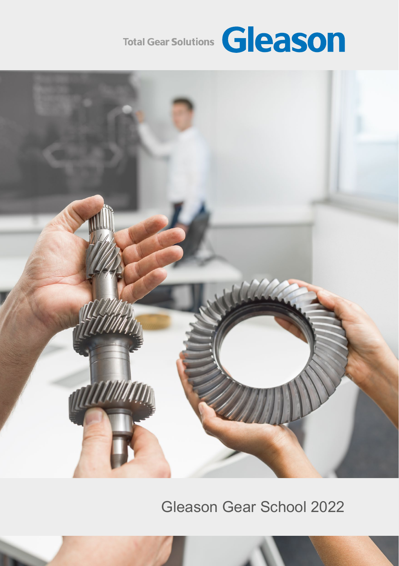



Gleason Gear School 2022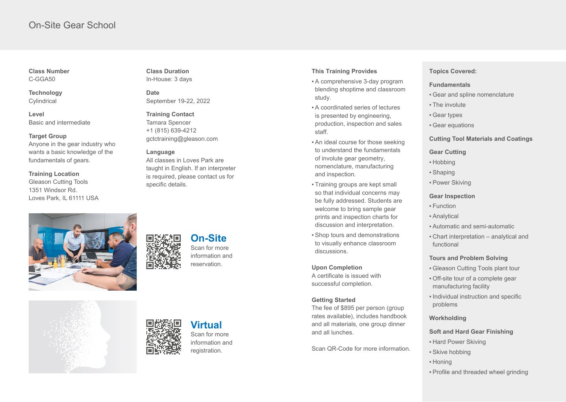## On-Site Gear School

**Class Number** C-GGA50

**Technology Cylindrical** 

**Level** Basic and intermediate

#### **Target Group**

Anyone in the gear industry who wants a basic knowledge of the fundamentals of gears.

**Training Location**

Gleason Cutting Tools 1351 Windsor Rd. Loves Park, IL 61111 USA



**Class Duration** In-House: 3 days

**Date** September 19-22, 2022

**Training Contact** Tamara Spencer +1 (815) 639-4212 gctctraining@gleason.com

#### **Language**

All classes in Loves Park are taught in English. If an interpreter is required, please contact us for specific details.

# **On-Site** Scan for more

information and reservation.

#### **This Training Provides**

- **A** comprehensive 3-day program blending shoptime and classroom study.
- **A** coordinated series of lectures is presented by engineering, production, inspection and sales staff.
- An ideal course for those seeking to understand the fundamentals of involute gear geometry, nomenclature, manufacturing and inspection.
- Training groups are kept small so that individual concerns may be fully addressed. Students are welcome to bring sample gear prints and inspection charts for discussion and interpretation.
- Shop tours and demonstrations to visually enhance classroom discussions.

#### **Upon Completion**

A certificate is issued with successful completion.

#### **Getting Started**

The fee of \$895 per person (group rates available), includes handbook and all materials, one group dinner and all lunches.

Scan QR-Code for more information.

### **Topics Covered:**

#### **Fundamentals**

- **Gear and spline nomenclature**
- The involute
- **Gear types**
- **Gear equations**

#### **Cutting Tool Materials and Coatings**

#### **Gear Cutting**

- ▪ Hobbing
- ▪ Shaping
- **Power Skiving**

#### **Gear Inspection**

- ▪ Function
- **Analytical**
- **.** Automatic and semi-automatic
- Chart interpretation analytical and functional

#### **Tours and Problem Solving**

- **Gleason Cutting Tools plant tour**
- Off-site tour of a complete gear manufacturing facility
- **.** Individual instruction and specific problems
- **Workholding**

### **Soft and Hard Gear Finishing**

- **. Hard Power Skiving**
- Skive hobbing
- ▪ Honing
- Profile and threaded wheel grinding



### **Virtual**  Scan for more

information and registration.